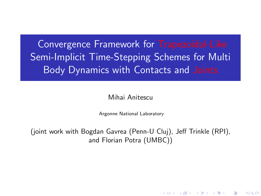Convergence Framework for Trapezoidal-Like Semi-Implicit Time-Stepping Schemes for Multi Body Dynamics with Contacts and Joints

### Mihai Anitescu

Argonne National Laboratory

<span id="page-0-0"></span>(joint work with Bogdan Gavrea (Penn-U Cluj), Jeff Trinkle (RPI), and Florian Potra (UMBC))

K ロ K K 個 K K 電 K K 電 K …

 $2Q$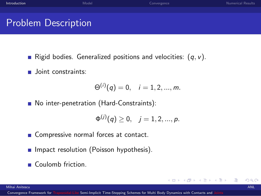Problem Description

- Rigid bodies. Generalized positions and velocities:  $(q, v)$ .
- **Joint constraints:**

$$
\Theta^{(i)}(q) = 0, \quad i = 1, 2, ..., m.
$$

■ No inter-penetration (Hard-Constraints):

$$
\Phi^{(j)}(q) \geq 0, \quad j = 1, 2, ..., p.
$$

4 0 8

<span id="page-1-0"></span>→ 何 ▶ → ヨ ▶ → ヨ

- Compressive normal forces at contact.
- $\blacksquare$  Impact resolution (Poisson hypothesis).
- Coulomb friction.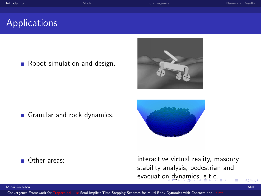Robot simulation and design.

Granular and rock dynamics.

Other areas: interactive virtual reality, masonry stability analysis, pedestrian and evacuatio[n d](#page-1-0)[yn](#page-3-0)[a](#page-1-0)[mi](#page-2-0)[c](#page-3-0)[s,](#page-0-0) [e](#page-1-0)[.](#page-2-0)[t.](#page-3-0)[c](#page-0-0)[.](#page-1-0)

<span id="page-2-0"></span> $2Q$ 

### Mihai Anitescu ANL



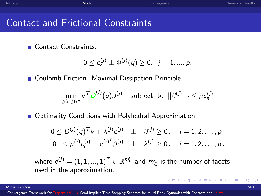| Introduction | Model | Convergence | <b>Numerical Results</b> |
|--------------|-------|-------------|--------------------------|
|              |       |             |                          |
|              |       |             |                          |

## Contact and Frictional Constraints

**Contact Constraints:** 

$$
0\leq c_n^{(j)}\perp \Phi^{(j)}(q)\geq 0, \ \ j=1,...,p.
$$

**Coulomb Friction. Maximal Dissipation Principle.** 

$$
\min_{\bar{\beta}^{(j)} \in \mathbb{R}^d} \mathsf{v}^{\mathsf{T}} \bar{D}^{(j)}(q) \bar{\beta}^{(j)} \quad \text{subject to} \quad ||\beta^{(j)}||_2 \leq \mu \mathsf{c}_n^{(j)}
$$

**Department Optimality Conditions with Polyhedral Approximation.** 

$$
0 \le D^{(j)}(q)^T v + \lambda^{(j)} e^{(j)} \perp \beta^{(j)} \ge 0, \quad j = 1, 2, ..., p
$$
  
\n
$$
0 \le \mu^{(j)} c_n^{(j)} - e^{(j)^T} \beta^{(j)} \perp \lambda^{(j)} \ge 0, \quad j = 1, 2, ..., p,
$$

where  $e^{(j)} = (1,1,...,1)^{\mathcal{T}} \in \mathbb{R}^{m_{\mathcal{C}}^{j}}$  and  $m_{\mathcal{C}}^{j}$  is the number of facets used in the approximation.

Mihai Anitescu ANL

<span id="page-3-0"></span>イロト イ押ト イヨト イヨ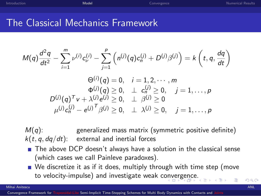| Introduction | Model | Convergence | Numerical Results |
|--------------|-------|-------------|-------------------|
|              |       |             |                   |

## The Classical Mechanics Framework

$$
M(q)\frac{d^2q}{dt^2} - \sum_{i=1}^m \nu^{(i)}c_{\nu}^{(i)} - \sum_{j=1}^p \left(n^{(j)}(q)c_n^{(j)} + D^{(j)}\beta^{(j)}\right) = k\left(t, q, \frac{dq}{dt}\right)
$$
  
\n
$$
\Theta^{(i)}(q) = 0, \quad i = 1, 2, \cdots, m
$$
  
\n
$$
\Phi^{(j)}(q) \ge 0, \quad \perp c_n^{(j)} \ge 0, \quad j = 1, \ldots, p
$$
  
\n
$$
D^{(j)}(q)^T v + \lambda^{(j)}e^{(j)} \ge 0, \quad \perp \beta^{(j)} \ge 0
$$
  
\n
$$
\mu^{(j)}c_n^{(j)} - e^{(j)}T\beta^{(j)} \ge 0, \quad \perp \lambda^{(j)} \ge 0, \quad j = 1, \ldots, p
$$

 $M(q)$ : generalized mass matrix (symmetric positive definite)  $k(t, q, dq/dt)$ : external and inertial forces

- $\blacksquare$  The above DCP doesn't always have a solution in the classical sense (which cases we call Painleve paradoxes).
- <span id="page-4-0"></span>■ We discretize it as if it does, multiply through with time step (move to velocity-impulse) and investigate weak c[onv](#page-3-0)[er](#page-5-0)[ge](#page-3-0)[nc](#page-4-0)[e](#page-5-0)[.](#page-2-0)

 $\Lambda$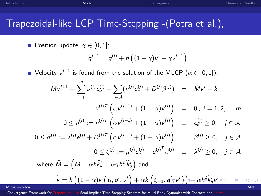| <b>Introduction</b> | Model | Convergence | <b>Numerical Results</b> |
|---------------------|-------|-------------|--------------------------|
|                     |       |             |                          |
|                     |       |             |                          |

## Trapezoidal-like LCP Time-Stepping -(Potra et al.),

Position update,  $\gamma \in [0,1]$ :

<span id="page-5-0"></span>
$$
q^{l+1}=q^{(l)}+h\left((1-\gamma)v^l+\gamma v^{l+1}\right)
$$

Velocity  $v^{l+1}$  is found from the solution of the MLCP  $(\alpha \in [0,1])$ :

$$
\widetilde{M}v^{l+1} - \sum_{i=1}^{m} \nu^{(i)}c_{\nu}^{(i)} - \sum_{j \in \mathcal{A}} (n^{(j)}c_{n}^{(j)} + D^{(j)}\beta^{(j)}) = \widetilde{M}v^{l} + \widetilde{k}
$$
\n
$$
\nu^{(i)T} \left(\alpha v^{(l+1)} + (1 - \alpha)v^{(l)}\right) = 0, i = 1, 2, \dots m
$$
\n
$$
0 \leq \rho^{(j)} := n^{(j)T} \left(\alpha v^{(l+1)} + (1 - \alpha)v^{(l)}\right) \perp c_{n}^{(j)} \geq 0, \quad j \in \mathcal{A}
$$
\n
$$
0 \leq \sigma^{(j)} := \lambda^{(j)}e^{(j)} + D^{(j)T} \left(\alpha v^{(l+1)} + (1 - \alpha)v^{(l)}\right) \perp \beta^{(j)} \geq 0, \quad j \in \mathcal{A}
$$
\n
$$
0 \leq \zeta^{(j)} := \mu^{(j)}c_{n}^{(j)} - e^{(j)^{T}}\beta^{(j)} \perp \lambda^{(j)} \geq 0, \quad j \in \mathcal{A}
$$
\nwhere  $\widetilde{M} = \left(M - \alpha h\widetilde{k}_{v}^{l} - \alpha\gamma h^{2}\widetilde{k}_{q}^{l}\right)$  and\n
$$
\widetilde{k} = h\left((1 - \alpha)k\left(t_{l}, q^{l}, v^{l}\right) + \alpha k\left(t_{l+1}, q^{l}, v^{l}\right)\right) + \alpha h^{2}\widetilde{k}_{q}^{l}v^{l} \geq 0 \implies \text{and}
$$
\n
$$
\widetilde{k} = h\left((1 - \alpha)k\left(t_{l}, q^{l}, v^{l}\right) + \alpha k\left(t_{l+1}, q^{l}, v^{l}\right)\right) + \alpha h^{2}\widetilde{k}_{q}^{l}v^{l} \geq 0 \implies \text{and}
$$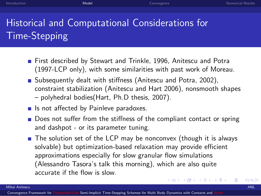# Historical and Computational Considerations for Time-Stepping

- **First described by Stewart and Trinkle, 1996, Anitescu and Potra** (1997-LCP only), with some similarities with past work of Moreau.
- Subsequently dealt with stiffness (Anitescu and Potra, 2002), constraint stabilization (Anitescu and Hart 2006), nonsmooth shapes – polyhedral bodies(Hart, Ph.D thesis, 2007).
- $\blacksquare$  Is not affected by Painleve paradoxes.
- Does not suffer from the stiffness of the compliant contact or spring and dashpot - or its parameter tuning.
- $\blacksquare$  The solution set of the LCP may be nonconvex (though it is always solvable) but optimization-based relaxation may provide efficient approximations especially for slow granular flow simulations (Alessandro Tasora's talk this morning), which are also quite accurate if the flow is slow.

<span id="page-6-0"></span> $290$ 

(□ ) (何 ) (日 ) (日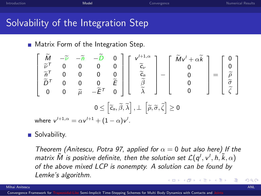| Introduction | Model | Convergence | Numerical Results |
|--------------|-------|-------------|-------------------|
|              |       |             |                   |
|              |       |             |                   |

## Solvability of the Integration Step

**Matrix Form of the Integration Step.** 

$$
\begin{bmatrix}\n\widetilde{M} & -\widetilde{\nu} & -\widetilde{n} & -\widetilde{D} & 0 \\
\widetilde{\nu}^T & 0 & 0 & 0 & 0 \\
\widetilde{n}^T & 0 & 0 & 0 & 0 \\
\widetilde{D}^T & 0 & 0 & 0 & \widetilde{E} \\
0 & 0 & \widetilde{\mu} & -\widetilde{E}^T & 0\n\end{bmatrix}\n\begin{bmatrix}\nv'^{1+1,\alpha} \\
\widetilde{c}_{\nu} \\
\widetilde{c}_{n} \\
\widetilde{\beta} \\
\widetilde{\lambda}\n\end{bmatrix} - \begin{bmatrix}\n\widetilde{M}v' + \alpha \widetilde{k} \\
0 \\
0 \\
0 \\
0\n\end{bmatrix} = \begin{bmatrix}\n0 \\
0 \\
\widetilde{\rho} \\
\widetilde{\beta} \\
\widetilde{\zeta}\n\end{bmatrix}
$$
\nwhere  $v'^{1+1,\alpha} = \alpha v'^{1+1} + (1-\alpha)v'.$ 

■ Solvability.

Theorem (Anitescu, Potra 97, applied for  $\alpha = 0$  but also here) If the matrix  $\tilde{M}$  is positive definite, then the solution set  $\mathcal{L}(q^l, v^l, h, \tilde{k}, \alpha)$ of the above mixed LCP is nonempty. A solution can be found by Lemke's algorithm.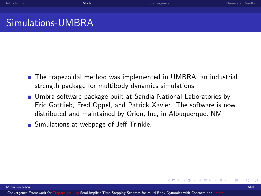| Introduction      | Model | Convergence | <b>Numerical Results</b> |
|-------------------|-------|-------------|--------------------------|
|                   |       |             |                          |
| Simulations-UMBRA |       |             |                          |

- The trapezoidal method was implemented in UMBRA, an industrial strength package for multibody dynamics simulations.
- **Umbra software package built at Sandia National Laboratories by** Eric Gottlieb, Fred Oppel, and Patrick Xavier. The software is now distributed and maintained by Orion, Inc, in Albuquerque, NM.

4 D F

Simulations at webpage of Jeff Trinkle.

<span id="page-8-0"></span> $QQ$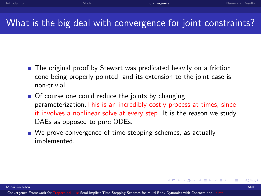## What is the big deal with convergence for joint constraints?

- The original proof by Stewart was predicated heavily on a friction cone being properly pointed, and its extension to the joint case is non-trivial.
- Of course one could reduce the joints by changing parameterization.This is an incredibly costly process at times, since it involves a nonlinear solve at every step. It is the reason we study DAEs as opposed to pure ODEs.
- <span id="page-9-0"></span>■ We prove convergence of time-stepping schemes, as actually implemented.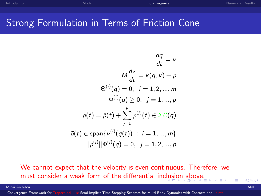## Strong Formulation in Terms of Friction Cone

$$
\frac{dq}{dt} = v
$$
\n
$$
M\frac{dv}{dt} = k(q, v) + \rho
$$
\n
$$
\Theta^{(i)}(q) = 0, \quad i = 1, 2, ..., m
$$
\n
$$
\Phi^{(j)}(q) \ge 0, \quad j = 1, ..., p
$$
\n
$$
\rho(t) = \bar{\rho}(t) + \sum_{j=1}^{p} \rho^{(j)}(t) \in \mathcal{FC}(q)
$$
\n
$$
\bar{\rho}(t) \in \text{span}\{\nu^{(i)}(q(t)) : i = 1, ..., m\}
$$
\n
$$
||\rho^{(j)}||\Phi^{(j)}(q) = 0, \quad j = 1, 2, ..., p
$$

We cannot expect that the velocity is even continuous. Therefore, we must consider a weak form of the differential inc[lus](#page-9-0)i[on](#page-11-0)[ab](#page-10-0)[o](#page-11-0)[ve](#page-8-0)[.](#page-9-0)

Mihai Anitescu ANL

Convergence Framework for Trapezoidal-Like [Semi-Implicit Time-Stepping Schemes for Multi Body Dynamics with Contacts and](#page-0-0)

<span id="page-10-0"></span> $QQ$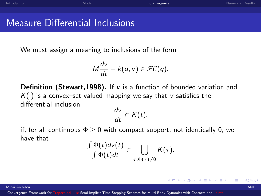| Introduction |      | Model | Convergence | Numerical Results |
|--------------|------|-------|-------------|-------------------|
|              |      |       |             |                   |
| .            | mira |       |             |                   |

Measure Differential Inclusions

We must assign a meaning to inclusions of the form

$$
M\frac{dv}{dt}-k(q,v)\in \mathcal{FC}(q).
$$

**Definition (Stewart, 1998).** If  $v$  is a function of bounded variation and  $K(\cdot)$  is a convex-set valued mapping we say that v satisfies the differential inclusion

$$
\frac{dv}{dt}\in K(t),
$$

if, for all continuous  $\Phi \geq 0$  with compact support, not identically 0, we have that

$$
\frac{\int \Phi(t) d\nu(t)}{\int \Phi(t) dt} \in \bigcup_{\tau: \Phi(\tau) \neq 0} K(\tau).
$$

Mihai Anitescu ANL

<span id="page-11-0"></span>イロト イ母ト イヨト イヨト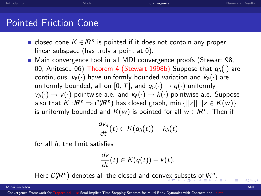[Introduction](#page-1-0) **[Model](#page-3-0) [Convergence](#page-9-0) Convergence** Convergence Convergence [Numerical Results](#page-21-0)

## Pointed Friction Cone

- closed cone  $K \in \mathbb{R}^n$  is pointed if it does not contain any proper linear subspace (has truly a point at 0).
- Main convergence tool in all MDI convergence proofs (Stewart 98, 00, Anitescu 06) Theorem 4 (Stewart 1998b) Suppose that  $q_{\hat{p}}(\cdot)$  are continuous,  $v_{\hat{n}}(\cdot)$  have uniformly bounded variation and  $k_{\hat{n}}(\cdot)$  are uniformly bounded, all on [0, T], and  $q_{\hat{p}}(\cdot) \rightarrow q(\cdot)$  uniformly,  $v_{\hat{n}}(\cdot) \rightarrow v(\cdot)$  pointwise a.e. and  $k_{\hat{n}}(\cdot) \rightarrow k(\cdot)$  pointwise a.e. Suppose also that  $K: \mathbb{R}^n \Rightarrow \mathcal{C}(\mathbb{R}^n)$  has closed graph, min  $\{||z|| \mid |z \in K(w)\}$ is uniformly bounded and  $K(w)$  is pointed for all  $w \in \mathbb{R}^n$ . Then if

$$
\frac{d v_{\hat{n}}}{dt}(t) \in K(q_{\hat{n}}(t)) - k_{\hat{n}}(t)
$$

for all  $\hat{n}$ , the limit satisfies

<span id="page-12-0"></span>
$$
\frac{dv}{dt}(t) \in K(q(t)) - k(t).
$$

Here  $C(\mathbb{R}^n)$  $C(\mathbb{R}^n)$  $C(\mathbb{R}^n)$  $C(\mathbb{R}^n)$  $C(\mathbb{R}^n)$  denotes all the closed and conv[ex](#page-11-0) [su](#page-13-0)b[set](#page-12-0)[s](#page-13-0) [o](#page-8-0)[f](#page-9-0)  $\mathbb{R}^n$ [.](#page-8-0)

Mihai Anitescu ANL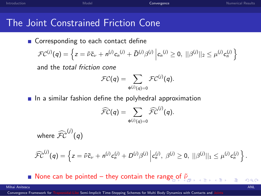| <b>Introduction</b> | Model | Convergence | Numerical Results |
|---------------------|-------|-------------|-------------------|
|                     |       |             |                   |

## The Joint Constrained Friction Cone

Corresponding to each contact define

$$
\mathcal{FC}^{(j)}(q) = \left\{ z = \tilde{\nu} \tilde{c}_{\nu} + n^{(j)} c_n^{(j)} + \bar{D}^{(j)} \beta^{(j)} \middle| c_n^{(j)} \ge 0, \ ||\beta^{(j)}||_2 \le \mu^{(j)} c_n^{(j)} \right\}
$$

and the total friction cone

$$
\mathcal{FC}(q) = \sum_{\Phi^{(j)}(q) = 0} \mathcal{FC}^{(j)}(q).
$$

 $\blacksquare$  In a similar fashion define the polyhedral approximation

<span id="page-13-0"></span>
$$
\widehat{{\mathcal F}{\mathcal C}}(q)=\sum_{\Phi^{(j)}(q)=0}\widehat{{\mathcal F}{\mathcal C}}^{(j)}(q).
$$

where  $\widehat{\mathcal{FC}}^{(j)}(q)$ 

$$
\widehat{FC}^{(j)}(q) = \left\{ z = \widetilde{\nu} \widetilde{c}_{\nu} + n^{(j)} c_n^{(j)} + D^{(j)} \beta^{(j)} \middle| c_n^{(j)}, \beta^{(j)} \ge 0, \ ||\beta^{(j)}||_1 \le \mu^{(j)} c_n^{(j)} \right\}.
$$

None can be pointed – they contain the ra[nge](#page-12-0) [of](#page-14-0) $\tilde{\nu}_{\text{eq}}$ 

#### Mihai Anitescu ANL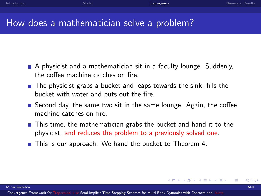## How does a mathematician solve a problem?

- A physicist and a mathematician sit in a faculty lounge. Suddenly, the coffee machine catches on fire.
- The physicist grabs a bucket and leaps towards the sink, fills the bucket with water and puts out the fire.
- Second day, the same two sit in the same lounge. Again, the coffee machine catches on fire.
- **This time, the mathematician grabs the bucket and hand it to the** physicist, and reduces the problem to a previously solved one.
- **This is our approach:** We hand the bucket to Theorem 4.

<span id="page-14-0"></span>イロト イ母ト イヨト イヨ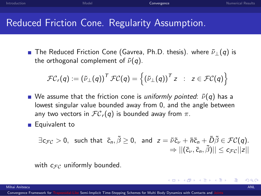| Introduction | Model | Convergence | <b>Numerical Results</b> |
|--------------|-------|-------------|--------------------------|
|              |       |             |                          |
|              |       |             |                          |

## Reduced Friction Cone. Regularity Assumption.

**■** The Reduced Friction Cone (Gavrea, Ph.D. thesis). where  $\tilde{\nu}_\perp(q)$  is the orthogonal complement of  $\tilde{\nu}(q)$ .

$$
\mathcal{FC}_r(q) := (\tilde{\nu}_{\perp}(q))^T \mathcal{FC}(q) = \left\{ (\tilde{\nu}_{\perp}(q))^T z \ : \ z \in \mathcal{FC}(q) \right\}
$$

- We assume that the friction cone is uniformly pointed:  $\tilde{\nu}(q)$  has a lowest singular value bounded away from 0, and the angle between any two vectors in  $FC_r(q)$  is bounded away from  $\pi$ .
- **Equivalent to**

$$
\exists c_{\mathcal{FC}}>0, \text{ such that } \tilde{c}_n, \tilde{\beta}\geq 0, \text{ and } z=\tilde{\nu}\tilde{c}_{\nu}+\tilde{n}\tilde{c}_n+\tilde{D}\tilde{\beta}\in \mathcal{FC}(q).
$$
  

$$
\Rightarrow ||(\tilde{c}_{\nu}, \tilde{c}_n, \tilde{\beta})|| \leq c_{\mathcal{FC}}||z||
$$

4 0 8

- 4母 ▶ - 4店 ▶ - 4店

with  $c_{\mathcal{FC}}$  uniformly bounded.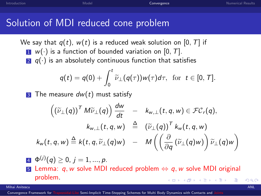## Solution of MDI reduced cone problem

We say that  $q(t)$ ,  $w(t)$  is a reduced weak solution on [0, T] if  $\blacksquare$  w( $\cdot$ ) is a function of bounded variation on [0, T]. 2  $q(\cdot)$  is an absolutely continuous function that satisfies

$$
q(t) = q(0) + \int_0^t \widetilde{\nu}_\perp(q(\tau))w(\tau)d\tau, \text{ for } t \in [0, T].
$$

**3** The measure  $dw(t)$  must satisfy

$$
\left((\widetilde{\nu}_{\perp}(q))^T M \widetilde{\nu}_{\perp}(q)\right) \frac{dw}{dt} = k_{w,\perp}(t, q, w) \in \mathcal{FC}_r(q),
$$
  

$$
k_{w,\perp}(t, q, w) \stackrel{\Delta}{=} (\widetilde{\nu}_{\perp}(q))^T k_w(t, q, w)
$$
  

$$
k_w(t, q, w) \stackrel{\Delta}{=} k(t, q, \widetilde{\nu}_{\perp}(q)w) - M\left(\left(\frac{\partial}{\partial q}(\widetilde{\nu}_{\perp}(q)w)\right) \widetilde{\nu}_{\perp}(q)w\right)
$$

 $\Phi^{(j)}(q) \geq 0, j = 1, ..., p.$ 5 Lemma: q, w solve MDI reduced problem  $\Leftrightarrow$  q, w solve MDI original problem. ( □ ) ( / / ) ( ) } (

Mihai Anitescu ANL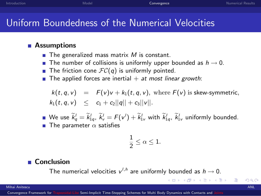## Uniform Boundedness of the Numerical Velocities

### **Assumptions**

- $\blacksquare$  The generalized mass matrix M is constant.
- **The number of collisions is uniformly upper bounded as**  $h \rightarrow 0$ **.**
- **The friction cone**  $FC(q)$  **is uniformly pointed.**
- The applied forces are inertial  $+$  at most linear growth:

$$
k(t, q, v) = F(v)v + k_1(t, q, v), \text{ where } F(v) \text{ is skew-symmetric,}
$$
  

$$
k_1(t, q, v) \leq c_1 + c_2||q|| + c_3||v||.
$$

We use  $\widetilde{k}_q^l = \widetilde{k}_{1q}^l, \; \widetilde{k}_v^l = F(v^l) + \widetilde{k}_{1v}^l$  with  $\widetilde{k}_{1q}^l, \; \widetilde{k}_{1v}^l$  uniformly bounded. The parameter  $\alpha$  satisfies

$$
\frac{1}{2} \leq \alpha \leq 1.
$$

### ■ Conclusion

The numerical velocities  $v^{l,h}$  are uniformly bounded as  $h \to 0$ .

### Mihai Anitescu ANL

Convergence Framework for Trapezoidal-Like [Semi-Implicit Time-Stepping Schemes for Multi Body Dynamics with Contacts and](#page-0-0)

イロト イ押ト イヨト イヨト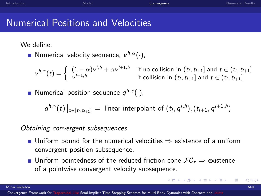| Introduction | Model | Convergence | <b>Numerical Results</b> |
|--------------|-------|-------------|--------------------------|
|              |       |             |                          |

## Numerical Positions and Velocities

We define:

Numerical velocity sequence,  $v^{h,\alpha}(\cdot)$ ,

 $v^{h,\alpha}(t) = \begin{cases} (1-\alpha)v^{l,h} + \alpha v^{l+1,h} & \text{if no collision in } (t_l, t_{l+1}] \text{ and } t \in (t_l, t_{l+1}] \end{cases}$  $v^{l+1,h}$  if collision in  $(t_l,t_{l+1}]$  and  $t \in (t_l,t_{l+1}]$ 

Numerical position sequence  $q^{h,\gamma}(\cdot)$ ,

$$
q^{h,\gamma}(t)\big|_{t\in[t_1,t_{l+1}]} = \text{ linear interpolant of } (t_l,q^{l,h}), (t_{l+1},q^{l+1,h})
$$

### Obtaining convergent subsequences

- Uniform bound for the numerical velocities  $\Rightarrow$  existence of a uniform convergent position subsequence.
- Uniform pointedness of the reduced friction cone  $FC_r$   $\Rightarrow$  existence of a pointwise convergent velocity subsequence.

メロメ メ母メ メミメ メミメー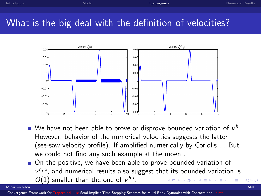| Introduction | Model | Convergence | <b>Numerical Results</b> |
|--------------|-------|-------------|--------------------------|
|              |       |             |                          |
|              |       |             |                          |

## What is the big deal with the definition of velocities?



- We have not been able to prove or disprove bounded variation of  $v^h$ . However, behavior of the numerical velocities suggests the latter (see-saw velocity profile). If amplified numerically by Coriolis ... But we could not find any such example at the moent.
- On the positive, we have been able to prove bounded variation of  $v^{h,\alpha}$ , and numerical results also suggest that its bounded variation is  $O(1)$  smaller than the one of  $v^{h,l}$ .

Mihai Anitescu ANL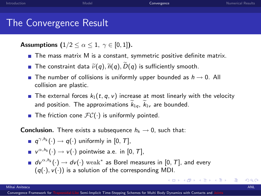## The Convergence Result

Assumptions  $(1/2 < \alpha < 1, \gamma \in [0,1])$ .

- $\blacksquare$  The mass matrix M is a constant, symmetric positive definite matrix.
- The constraint data  $\tilde{\nu}(q)$ ,  $\tilde{n}(q)$ ,  $\tilde{D}(q)$  is sufficiently smooth.
- The number of collisions is uniformly upper bounded as  $h \rightarrow 0$ . All collision are plastic.
- The external forces  $k_1(t, q, v)$  increase at most linearly with the velocity and position. The approximations  $k_{1q}$ ,  $k_{1v}$  are bounded.
- **The friction cone**  $FC(\cdot)$  **is uniformly pointed.**

**Conclusion.** There exists a subsequence  $h_k \to 0$ , such that:

$$
\blacksquare \; q^{\gamma, h_k}(\cdot) \to q(\cdot) \text{ uniformly in } [0, T],
$$

$$
\blacksquare \ \mathsf{v}^{\alpha,h_k}(\cdot) \to \mathsf{v}(\cdot) \ \text{pointwise a.e. in } [0,T],
$$

 $d v^{\alpha, h_k}(\cdot) \to d v(\cdot)$  weak $^*$  as Borel measures in [0, T], and every  $(q(\cdot), v(\cdot))$  is a solution of the corresponding MDI.

<span id="page-20-0"></span>メロメ メ都 メメ きょくきょ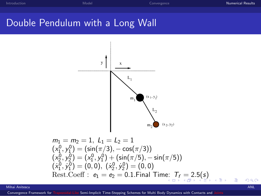## Double Pendulum with a Long Wall



<span id="page-21-0"></span>
$$
m_1 = m_2 = 1, L_1 = L_2 = 1
$$
  
\n
$$
(x_1^0, y_1^0) = (\sin(\pi/3), -\cos(\pi/3))
$$
  
\n
$$
(x_2^0, y_2^0) = (x_1^0, y_1^0) + (\sin(\pi/5), -\sin(\pi/5))
$$
  
\n
$$
(x_1^0, y_1^0) = (0, 0), (x_2^0, y_2^0) = (0, 0)
$$
  
\nRest.Coeff :  $e_1 = e_2 = 0.1$ .Final Time:  $T_f = 2.5(s)$ 

#### Mihai Anitescu ANL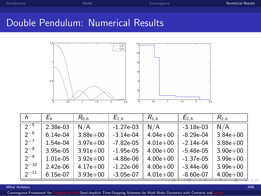## Double Pendulum: Numerical Results



| h         | Еh         | $R_{0,h}$    | $E_{1,h}$   | $R_{1,h}$    | $E_{2,h}$   | $R_{2,h}$    |
|-----------|------------|--------------|-------------|--------------|-------------|--------------|
| $2^{-5}$  | 2.38e-03   | N/A          | $-1.27e-03$ | N/A          | $-3.18e-03$ | N/A          |
| $2^{-6}$  | $6.14e-04$ | $3.88e + 00$ | $-3.14e-04$ | $4.04e + 00$ | $-8.29e-04$ | $3.84e + 00$ |
| $2^{-7}$  | 1.54e-04   | $3.97e + 00$ | $-7.82e-05$ | $4.01e + 00$ | $-2.14e-04$ | $3.88e + 00$ |
| $2^{-8}$  | 3.95e-05   | $3.91e + 00$ | $-1.95e-05$ | $4.00e + 00$ | $-5.48e-05$ | $3.90e + 00$ |
| $2^{-9}$  | 1.01e-05   | $3.92e + 00$ | $-4.88e-06$ | $4.00e + 00$ | $-1.37e-05$ | $3.99e + 00$ |
| $2^{-10}$ | 2.42e-06   | $4.17e + 00$ | $-1.22e-06$ | $4.00e + 00$ | $-3.44e-06$ | $3.99e + 00$ |
| $2^{-11}$ | 6.15e-07   | $3.93e + 00$ | $-3.05e-07$ | $4.01e + 00$ | $-8.60e-07$ | $4.00e + 00$ |

#### <span id="page-22-0"></span>Mihai Anitescu ANL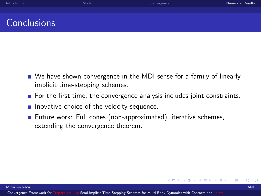| Introduction | Model | Convergence | <b>Numerical Results</b> |
|--------------|-------|-------------|--------------------------|
|              |       |             |                          |
| Conclusions  |       |             |                          |

- We have shown convergence in the MDI sense for a family of linearly implicit time-stepping schemes.
- $\blacksquare$  For the first time, the convergence analysis includes joint constraints.

4 D F

<span id="page-23-0"></span>a katika masuka

- $\blacksquare$  Inovative choice of the velocity sequence.
- Future work: Full cones (non-approximated), iterative schemes, extending the convergence theorem.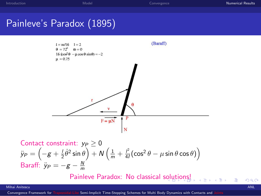## Painleve's Paradox (1895)



Context constraint: *y<sub>P</sub>* ≥ 0  
\n*ỹ<sub>P</sub>* = 
$$
\left(-g + \frac{1}{2}\dot{\theta}^2 \sin \theta\right) + N\left(\frac{1}{m} + \frac{l^2}{4l}(\cos^2 \theta - \mu \sin \theta \cos \theta)\right)
$$
  
\nBaraff: *ỹ<sub>P</sub>* =  $-g - \frac{N}{m}$ 

<span id="page-24-0"></span>Painleve Paradox: No classical s[olu](#page-23-0)[tio](#page-25-0)[n](#page-23-0)[s!](#page-24-0)

#### Mihai Anitescu ANL